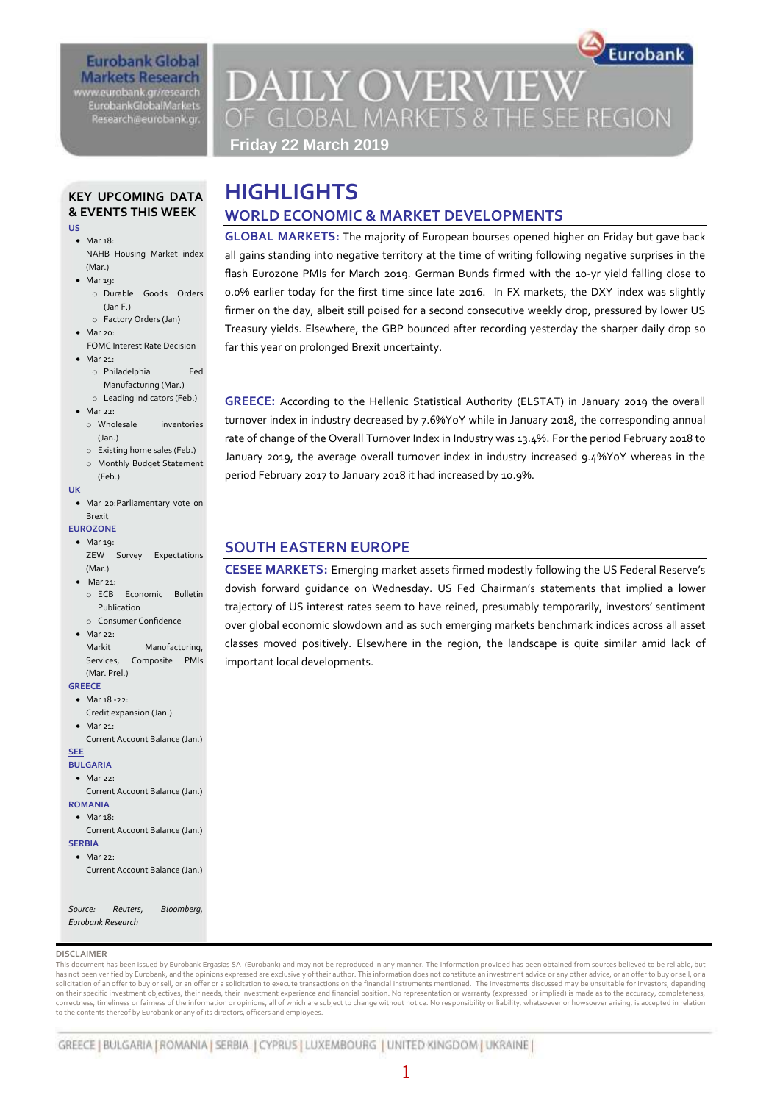### **Eurobank Global Markets Research** www.eurobank.gr/research

**EurobankGlobalMarkets** Research@eurobank.gr

# Eurobank **DAILY OVERVIEW** OF GLOBAL MARKETS & THE SEE REGION

**Friday 22 March 2019**

### **KEY UPCOMING DATA & EVENTS THIS WEEK US**

 $Mar 18$ 

NAHB Housing Market index (Mar.)

- Mar 19:
	- o Durable Goods Orders (Jan F.) o Factory Orders (Jan)
- $Mar 20$
- FOMC Interest Rate Decision
- $\bullet$  Mar  $21$ :
	- o Philadelphia Fed Manufacturing (Mar.)
	- o Leading indicators (Feb.)
- Mar 22:
	- o Wholesale inventories (Jan.)
	- o Existing home sales (Feb.) o Monthly Budget Statement
	- (Feb.)
- Mar 20:Parliamentary vote on Brexit
- **EUROZONE**

**UK**

- Mar 19:
- ZEW Survey Expectations (Mar.)
- $\bullet$  Mar 21: o ECB Economic Bulletin
	- Publication o Consumer Confidence
- $\bullet$  Mar 22:
- Markit Manufacturing, Services, Composite PMIs (Mar. Prel.)

### **GREECE**

- Mar 18 -22:
- Credit expansion (Jan.)
- Mar 21:
- Current Account Balance (Jan.)

### **SEE**

- **BULGARIA**
- $Mar22$ Current Account Balance (Jan.)
- **ROMANIA**
- $\bullet$  Mar 18:
- Current Account Balance (Jan.) **SERBIA**
- $\bullet$  Mar 22:
- Current Account Balance (Jan.)

*Source: Reuters, Bloomberg, Eurobank Research*

### **DISCLAIMER**

This document has been issued by Eurobank Ergasias SA (Eurobank) and may not be reproduced in any manner. The information provided has been obtained from sources believed to be reliable, but has not been verified by Eurobank, and the opinions expressed are exclusively of their author. This information does not constitute an investment advice or any other advice, or an offer to buy or sell, or a solicitation of an offer to buy or sell, or an offer or a solicitation to execute transactions on the financial instruments mentioned. The investments discussed may be unsuitable for investors, depending on their specific investment objectives, their needs, their investment experience and financial position. No representation or warranty (expressed or implied) is made as to the accuracy, completeness, correctness, timeliness or fairness of the information or opinions, all of which are subject to change without notice. No responsibility or liability, whatsoever or howsoever arising, is accepted in relation to the contents thereof by Eurobank or any of its directors, officers and employees.

## **HIGHLIGHTS WORLD ECONOMIC & MARKET DEVELOPMENTS**

**GLOBAL MARKETS:** The majority of European bourses opened higher on Friday but gave back all gains standing into negative territory at the time of writing following negative surprises in the flash Eurozone PMIs for March 2019. German Bunds firmed with the 10-yr yield falling close to 0.0% earlier today for the first time since late 2016. In FX markets, the DXY index was slightly firmer on the day, albeit still poised for a second consecutive weekly drop, pressured by lower US Treasury yields. Elsewhere, the GBP bounced after recording yesterday the sharper daily drop so far this year on prolonged Brexit uncertainty.

**GREECE:** According to the Hellenic Statistical Authority (ELSTAT) in January 2019 the overall turnover index in industry decreased by 7.6%YoY while in January 2018, the corresponding annual rate of change of the Overall Turnover Index in Industry was 13.4%. For the period February 2018 to January 2019, the average overall turnover index in industry increased 9.4%YoY whereas in the period February 2017 to January 2018 it had increased by 10.9%.

## **SOUTH EASTERN EUROPE**

**CESEE MARKETS:** Emerging market assets firmed modestly following the US Federal Reserve's dovish forward guidance on Wednesday. US Fed Chairman's statements that implied a lower trajectory of US interest rates seem to have reined, presumably temporarily, investors' sentiment over global economic slowdown and as such emerging markets benchmark indices across all asset classes moved positively. Elsewhere in the region, the landscape is quite similar amid lack of important local developments.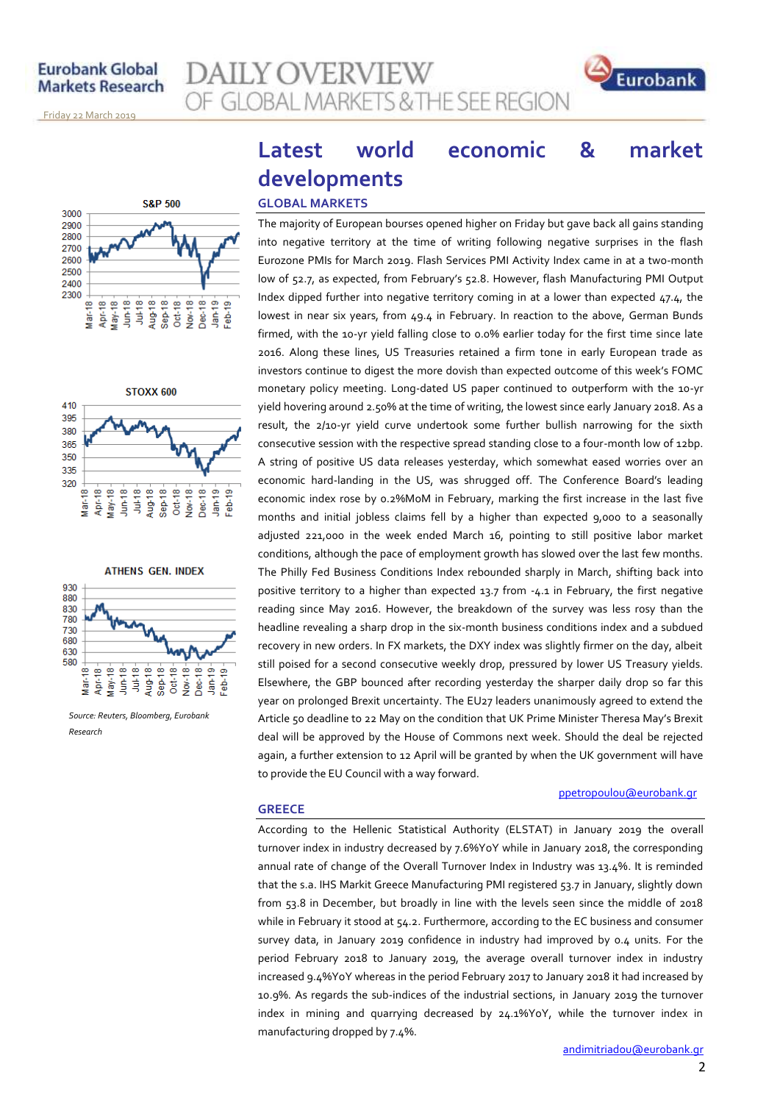**Y OVERVIEW GLOBAL MARKETS & THE SEE REGION** 



<u>Friday 22 March 2019 </u>







*Source: Reuters, Bloomberg, Eurobank Research*

## **Latest world economic & market developments**

### **GLOBAL MARKETS**

**GREECE**

The majority of European bourses opened higher on Friday but gave back all gains standing into negative territory at the time of writing following negative surprises in the flash Eurozone PMIs for March 2019. Flash Services PMI Activity Index came in at a two-month low of 52.7, as expected, from February's 52.8. However, flash Manufacturing PMI Output Index dipped further into negative territory coming in at a lower than expected 47.4, the lowest in near six years, from 49.4 in February. In reaction to the above, German Bunds firmed, with the 10-yr yield falling close to 0.0% earlier today for the first time since late 2016. Along these lines, US Treasuries retained a firm tone in early European trade as investors continue to digest the more dovish than expected outcome of this week's FOMC monetary policy meeting. Long-dated US paper continued to outperform with the 10-yr yield hovering around 2.50% at the time of writing, the lowest since early January 2018. As a result, the 2/10-yr yield curve undertook some further bullish narrowing for the sixth consecutive session with the respective spread standing close to a four-month low of 12bp. A string of positive US data releases yesterday, which somewhat eased worries over an economic hard-landing in the US, was shrugged off. The Conference Board's leading economic index rose by 0.2%MoM in February, marking the first increase in the last five months and initial jobless claims fell by a higher than expected 9,000 to a seasonally adjusted 221,000 in the week ended March 16, pointing to still positive labor market conditions, although the pace of employment growth has slowed over the last few months. The Philly Fed Business Conditions Index rebounded sharply in March, shifting back into positive territory to a higher than expected 13.7 from -4.1 in February, the first negative reading since May 2016. However, the breakdown of the survey was less rosy than the headline revealing a sharp drop in the six-month business conditions index and a subdued recovery in new orders. In FX markets, the DXY index was slightly firmer on the day, albeit still poised for a second consecutive weekly drop, pressured by lower US Treasury yields. Elsewhere, the GBP bounced after recording yesterday the sharper daily drop so far this year on prolonged Brexit uncertainty. The EU27 leaders unanimously agreed to extend the Article 50 deadline to 22 May on the condition that UK Prime Minister Theresa May's Brexit deal will be approved by the House of Commons next week. Should the deal be rejected again, a further extension to 12 April will be granted by when the UK government will have to provide the EU Council with a way forward.

#### [ppetropoulou@eurobank.gr](mailto:ppetropoulou@eurobank.gr)

According to the Hellenic Statistical Authority (ELSTAT) in January 2019 the overall turnover index in industry decreased by 7.6%YoY while in January 2018, the corresponding annual rate of change of the Overall Turnover Index in Industry was 13.4%. It is reminded that the s.a. IHS Markit Greece Manufacturing PMI registered 53.7 in January, slightly down from 53.8 in December, but broadly in line with the levels seen since the middle of 2018 while in February it stood at 54.2. Furthermore, according to the EC business and consumer survey data, in January 2019 confidence in industry had improved by 0.4 units. For the period February 2018 to January 2019, the average overall turnover index in industry increased 9.4%YoY whereas in the period February 2017 to January 2018 it had increased by 10.9%. As regards the sub-indices of the industrial sections, in January 2019 the turnover index in mining and quarrying decreased by 24.1%YoY, while the turnover index in manufacturing dropped by 7.4%.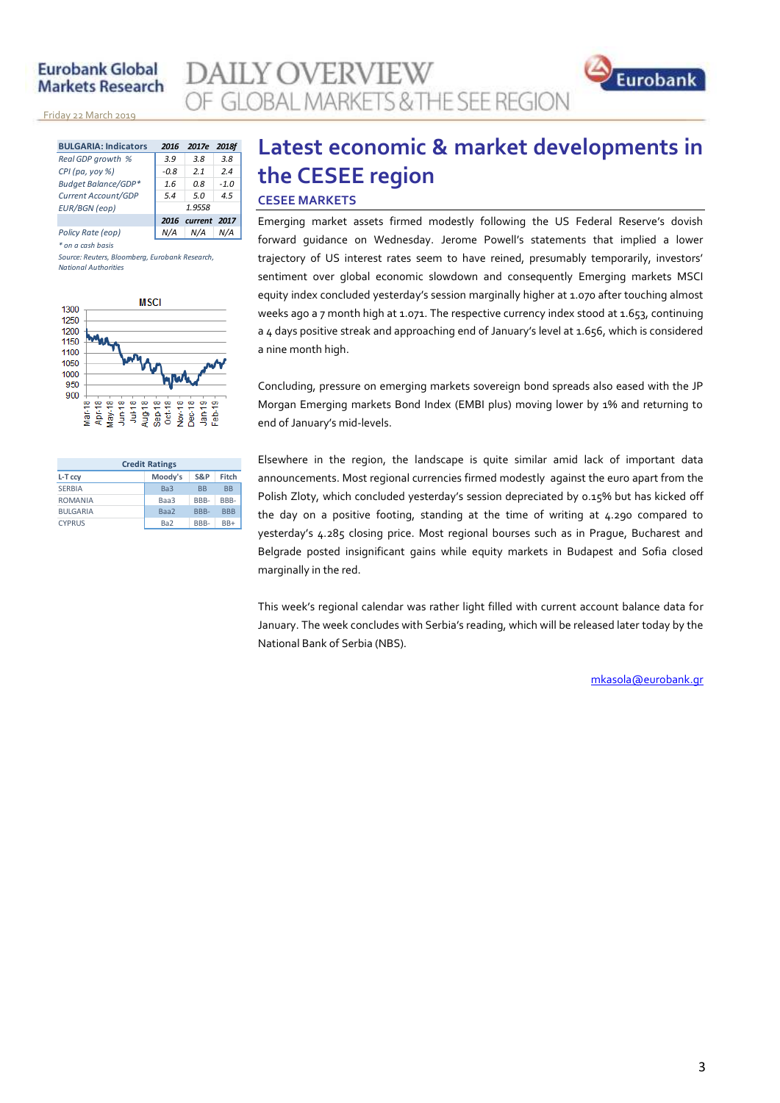### **Eurobank Global Markets Research**

<u>Friday 22 March 2019 </u>

| <b>BULGARIA: Indicators</b> | 2016   | 2017e             | 2018f  |
|-----------------------------|--------|-------------------|--------|
| Real GDP growth %           | 3.9    | 3.8               | 3.8    |
| $CPI$ (pa, yoy %)           | $-0.8$ | 21                | 2.4    |
| <b>Budget Balance/GDP*</b>  | 1.6    | 0.8               | $-1.0$ |
| Current Account/GDP         | 5.4    | 5.0               | 4.5    |
| <b>EUR/BGN</b> (eop)        | 1.9558 |                   |        |
|                             |        | 2016 current 2017 |        |
| Policy Rate (eop)           |        | N/A               |        |

*\* on a cash basis*

*Source: Reuters, Bloomberg, Eurobank Research, National Authorities*



| <b>Credit Ratings</b> |                 |                |            |  |
|-----------------------|-----------------|----------------|------------|--|
| L-T ccy               | Moody's         | <b>S&amp;P</b> | Fitch      |  |
| <b>SERBIA</b>         | Ba3             | <b>BB</b>      | <b>BB</b>  |  |
| <b>ROMANIA</b>        | Baa3            | BBB-           | BBB-       |  |
| <b>BULGARIA</b>       | Baa2            | BBB-           | <b>BBB</b> |  |
| <b>CYPRUS</b>         | Ba <sub>2</sub> | BBB-           | $BB+$      |  |

## **Latest economic & market developments in the CESEE region**

### **CESEE MARKETS**

**AILY OVERVIEW** 

OF GLOBAL MARKETS & THE SEE REGION

Emerging market assets firmed modestly following the US Federal Reserve's dovish forward guidance on Wednesday. Jerome Powell's statements that implied a lower trajectory of US interest rates seem to have reined, presumably temporarily, investors' sentiment over global economic slowdown and consequently Emerging markets MSCI equity index concluded yesterday's session marginally higher at 1.070 after touching almost weeks ago a 7 month high at 1.071. The respective currency index stood at 1.653, continuing a 4 days positive streak and approaching end of January's level at 1.656, which is considered a nine month high.

Concluding, pressure on emerging markets sovereign bond spreads also eased with the JP Morgan Emerging markets Bond Index (EMBI plus) moving lower by 1% and returning to end of January's mid-levels.

Elsewhere in the region, the landscape is quite similar amid lack of important data announcements. Most regional currencies firmed modestly against the euro apart from the Polish Zloty, which concluded yesterday's session depreciated by 0.15% but has kicked off the day on a positive footing, standing at the time of writing at 4.290 compared to yesterday's 4.285 closing price. Most regional bourses such as in Prague, Bucharest and Belgrade posted insignificant gains while equity markets in Budapest and Sofia closed marginally in the red.

This week's regional calendar was rather light filled with current account balance data for January. The week concludes with Serbia's reading, which will be released later today by the National Bank of Serbia (NBS).

[mkasola@eurobank.gr](mailto:mkasola@eurobank.gr)

Eurobank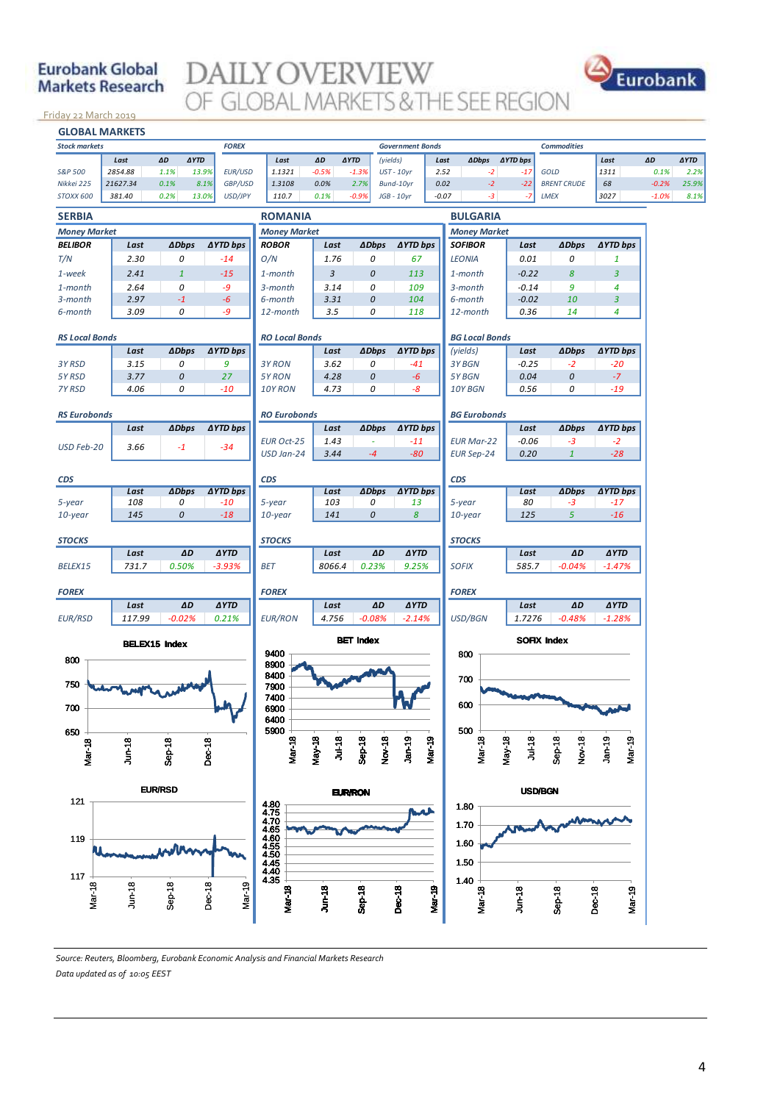## **Eurobank Global Markets Research**

## **DAILY OVERVIEW GLOBAL MARKETS & THE SEE REGION**



<u>Friday 22 March 2019 </u>



#### *Source: Reuters, Bloomberg, Eurobank Economic Analysis and Financial Markets Research Data updated as of 10:05 EEST*